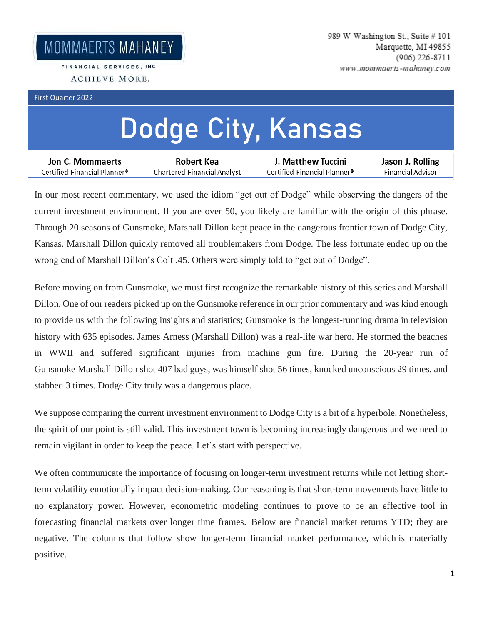FINANCIAL SERVICES, INC. ACHIEVE MORE.

## First Quarter 2022

## **Dodge City, Kansas**

| Jon C. Mommaerts             | Robert Kea                  | J. Matthew Tuccini           | Jason J. Rolling  |
|------------------------------|-----------------------------|------------------------------|-------------------|
| Certified Financial Planner® | Chartered Financial Analyst | Certified Financial Planner® | Financial Advisor |

In our most recent commentary, we used the idiom "get out of Dodge" while observing the dangers of the current investment environment. If you are over 50, you likely are familiar with the origin of this phrase. Through 20 seasons of Gunsmoke, Marshall Dillon kept peace in the dangerous frontier town of Dodge City, Kansas. Marshall Dillon quickly removed all troublemakers from Dodge. The less fortunate ended up on the wrong end of Marshall Dillon's Colt .45. Others were simply told to "get out of Dodge".

Before moving on from Gunsmoke, we must first recognize the remarkable history of this series and Marshall Dillon. One of our readers picked up on the Gunsmoke reference in our prior commentary and was kind enough to provide us with the following insights and statistics; Gunsmoke is the longest-running drama in television history with 635 episodes. James Arness (Marshall Dillon) was a real-life war hero. He stormed the beaches in WWII and suffered significant injuries from machine gun fire. During the 20-year run of Gunsmoke Marshall Dillon shot 407 bad guys, was himself shot 56 times, knocked unconscious 29 times, and stabbed 3 times. Dodge City truly was a dangerous place.

We suppose comparing the current investment environment to Dodge City is a bit of a hyperbole. Nonetheless, the spirit of our point is still valid. This investment town is becoming increasingly dangerous and we need to remain vigilant in order to keep the peace. Let's start with perspective.

We often communicate the importance of focusing on longer-term investment returns while not letting shortterm volatility emotionally impact decision-making. Our reasoning is that short-term movements have little to no explanatory power. However, econometric modeling continues to prove to be an effective tool in forecasting financial markets over longer time frames. Below are financial market returns YTD; they are negative. The columns that follow show longer-term financial market performance, which is materially positive.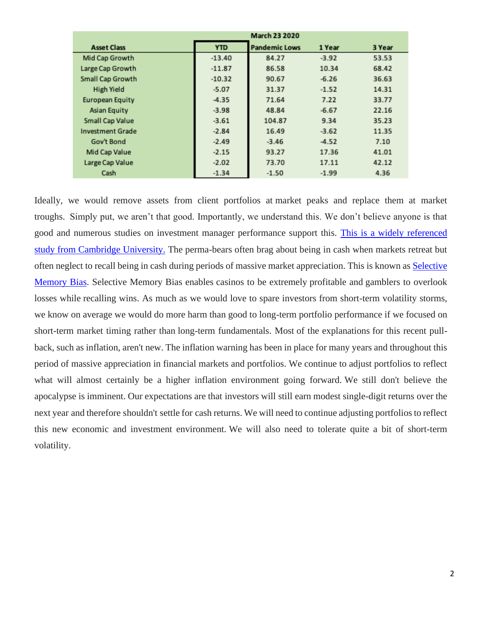|                         | <b>March 23 2020</b> |                      |         |        |  |
|-------------------------|----------------------|----------------------|---------|--------|--|
| <b>Asset Class</b>      | <b>YTD</b>           | <b>Pandemic Lows</b> | 1 Year  | 3 Year |  |
| Mid Cap Growth          | $-13.40$             | 84.27                | $-3.92$ | 53.53  |  |
| Large Cap Growth        | $-11.87$             | 86.58                | 10.34   | 68.42  |  |
| Small Cap Growth        | $-10.32$             | 90.67                | $-6.26$ | 36.63  |  |
| High Yield              | $-5.07$              | 31.37                | $-1.52$ | 14.31  |  |
| <b>European Equity</b>  | $-4.35$              | 71.64                | 7.22    | 33.77  |  |
| <b>Asian Equity</b>     | $-3.98$              | 48.84                | $-6.67$ | 22.16  |  |
| Small Cap Value         | $-3.61$              | 104.87               | 9.34    | 35.23  |  |
| <b>Investment Grade</b> | $-2.84$              | 16.49                | $-3.62$ | 11.35  |  |
| Gov't Bond              | $-2.49$              | $-3.46$              | $-4.52$ | 7.10   |  |
| Mid Cap Value           | $-2.15$              | 93.27                | 17.36   | 41.01  |  |
| Large Cap Value         | $-2.02$              | 73.70                | 17.11   | 42.12  |  |
| Cash                    | $-1.34$              | $-1.50$              | $-1.99$ | 4.36   |  |

Ideally, we would remove assets from client portfolios at market peaks and replace them at market troughs. Simply put, we aren't that good. Importantly, we understand this. We don't believe anyone is that good and numerous studies on investment manager performance support this. [This is a widely referenced](https://url.emailprotection.link/?bxte2Di1ElbUgOXEnPDn1MIWVlCTvWZ9yUmW3uzZ0IYWCtEBJ6pnEl-xniILX_glcLDpXlyG56zjJHbYQZx6wMRw9Qt56VPKm7ttNaT-4-5WZkj5CWh_eWbFlDK3JeH1ZGMpKD2Gv6QzsNWDZsgL-81oCdQUbVhy41WCrx2BpftT9FDn7ZogOl5Ucz5mwrAfTntJo0DwEHCu85SFhFjwt2BWRP1f4iV1qS6E--WMoVBKsXlj4Kyu-kZwpc_WQmNri)  [study from Cambridge University.](https://url.emailprotection.link/?bxte2Di1ElbUgOXEnPDn1MIWVlCTvWZ9yUmW3uzZ0IYWCtEBJ6pnEl-xniILX_glcLDpXlyG56zjJHbYQZx6wMRw9Qt56VPKm7ttNaT-4-5WZkj5CWh_eWbFlDK3JeH1ZGMpKD2Gv6QzsNWDZsgL-81oCdQUbVhy41WCrx2BpftT9FDn7ZogOl5Ucz5mwrAfTntJo0DwEHCu85SFhFjwt2BWRP1f4iV1qS6E--WMoVBKsXlj4Kyu-kZwpc_WQmNri) The perma-bears often brag about being in cash when markets retreat but often neglect to recall being in cash during periods of massive market appreciation. This is known as [Selective](https://url.emailprotection.link/?b-n_6SnABvpn-LFlgiG-MkkckWYzmIb9wEIKGN4lADj010iZxgbfLMFoTavZN8dAECygeZJKtUU6i1cxY-TnfkyRMJEvA_oyMk9CDXAFa6Ve4FQBDBNf0-5hZVhJBC2Xc1Kyt9dv7186_yoNBbMJC3HP3_dKRPs0qhWGwcaBelqo~)  [Memory Bias.](https://url.emailprotection.link/?b-n_6SnABvpn-LFlgiG-MkkckWYzmIb9wEIKGN4lADj010iZxgbfLMFoTavZN8dAECygeZJKtUU6i1cxY-TnfkyRMJEvA_oyMk9CDXAFa6Ve4FQBDBNf0-5hZVhJBC2Xc1Kyt9dv7186_yoNBbMJC3HP3_dKRPs0qhWGwcaBelqo~) Selective Memory Bias enables casinos to be extremely profitable and gamblers to overlook losses while recalling wins. As much as we would love to spare investors from short-term volatility storms, we know on average we would do more harm than good to long-term portfolio performance if we focused on short-term market timing rather than long-term fundamentals. Most of the explanations for this recent pullback, such as inflation, aren't new. The inflation warning has been in place for many years and throughout this period of massive appreciation in financial markets and portfolios. We continue to adjust portfolios to reflect what will almost certainly be a higher inflation environment going forward. We still don't believe the apocalypse is imminent. Our expectations are that investors will still earn modest single-digit returns over the next year and therefore shouldn't settle for cash returns. We will need to continue adjusting portfolios to reflect this new economic and investment environment. We will also need to tolerate quite a bit of short-term volatility.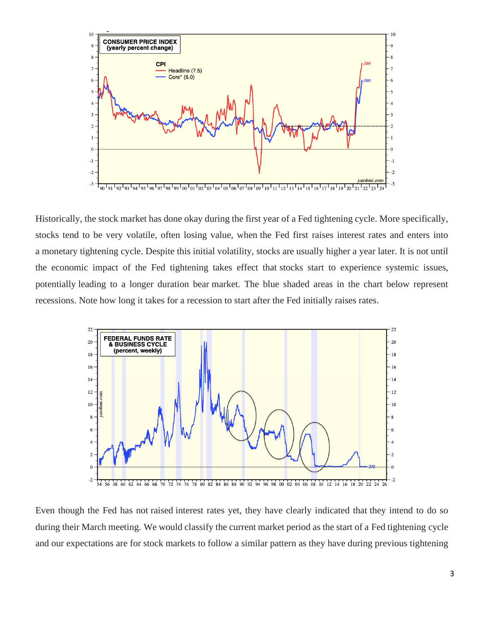

Historically, the stock market has done okay during the first year of a Fed tightening cycle. More specifically, stocks tend to be very volatile, often losing value, when the Fed first raises interest rates and enters into a monetary tightening cycle. Despite this initial volatility, stocks are usually higher a year later. It is not until the economic impact of the Fed tightening takes effect that stocks start to experience systemic issues, potentially leading to a longer duration bear market. The blue shaded areas in the chart below represent recessions. Note how long it takes for a recession to start after the Fed initially raises rates.



Even though the Fed has not raised interest rates yet, they have clearly indicated that they intend to do so during their March meeting. We would classify the current market period as the start of a Fed tightening cycle and our expectations are for stock markets to follow a similar pattern as they have during previous tightening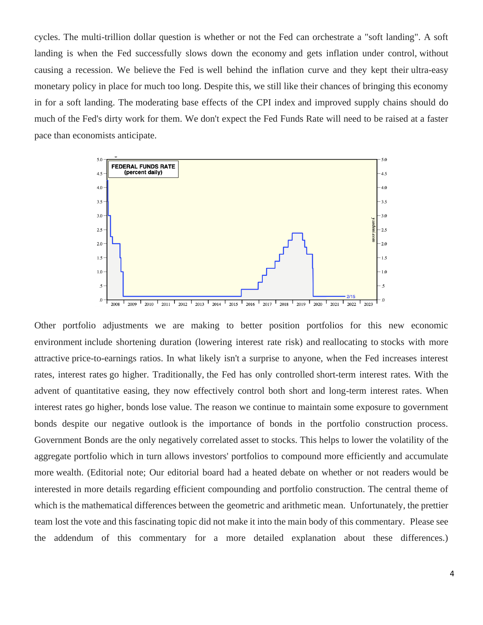cycles. The multi-trillion dollar question is whether or not the Fed can orchestrate a "soft landing". A soft landing is when the Fed successfully slows down the economy and gets inflation under control, without causing a recession. We believe the Fed is well behind the inflation curve and they kept their ultra-easy monetary policy in place for much too long. Despite this, we still like their chances of bringing this economy in for a soft landing. The moderating base effects of the CPI index and improved supply chains should do much of the Fed's dirty work for them. We don't expect the Fed Funds Rate will need to be raised at a faster pace than economists anticipate.



Other portfolio adjustments we are making to better position portfolios for this new economic environment include shortening duration (lowering interest rate risk) and reallocating to stocks with more attractive price-to-earnings ratios. In what likely isn't a surprise to anyone, when the Fed increases interest rates, interest rates go higher. Traditionally, the Fed has only controlled short-term interest rates. With the advent of quantitative easing, they now effectively control both short and long-term interest rates. When interest rates go higher, bonds lose value. The reason we continue to maintain some exposure to government bonds despite our negative outlook is the importance of bonds in the portfolio construction process. Government Bonds are the only negatively correlated asset to stocks. This helps to lower the volatility of the aggregate portfolio which in turn allows investors' portfolios to compound more efficiently and accumulate more wealth. (Editorial note; Our editorial board had a heated debate on whether or not readers would be interested in more details regarding efficient compounding and portfolio construction. The central theme of which is the mathematical differences between the geometric and arithmetic mean. Unfortunately, the prettier team lost the vote and this fascinating topic did not make it into the main body of this commentary. Please see the addendum of this commentary for a more detailed explanation about these differences.)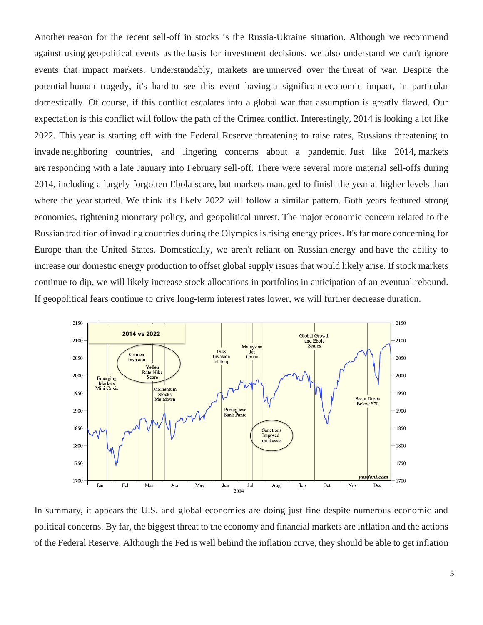Another reason for the recent sell-off in stocks is the Russia-Ukraine situation. Although we recommend against using geopolitical events as the basis for investment decisions, we also understand we can't ignore events that impact markets. Understandably, markets are unnerved over the threat of war. Despite the potential human tragedy, it's hard to see this event having a significant economic impact, in particular domestically. Of course, if this conflict escalates into a global war that assumption is greatly flawed. Our expectation is this conflict will follow the path of the Crimea conflict. Interestingly, 2014 is looking a lot like 2022. This year is starting off with the Federal Reserve threatening to raise rates, Russians threatening to invade neighboring countries, and lingering concerns about a pandemic. Just like 2014, markets are responding with a late January into February sell-off. There were several more material sell-offs during 2014, including a largely forgotten Ebola scare, but markets managed to finish the year at higher levels than where the year started. We think it's likely 2022 will follow a similar pattern. Both years featured strong economies, tightening monetary policy, and geopolitical unrest. The major economic concern related to the Russian tradition of invading countries during the Olympics is rising energy prices. It's far more concerning for Europe than the United States. Domestically, we aren't reliant on Russian energy and have the ability to increase our domestic energy production to offset global supply issues that would likely arise. If stock markets continue to dip, we will likely increase stock allocations in portfolios in anticipation of an eventual rebound. If geopolitical fears continue to drive long-term interest rates lower, we will further decrease duration.



In summary, it appears the U.S. and global economies are doing just fine despite numerous economic and political concerns. By far, the biggest threat to the economy and financial markets are inflation and the actions of the Federal Reserve. Although the Fed is well behind the inflation curve, they should be able to get inflation